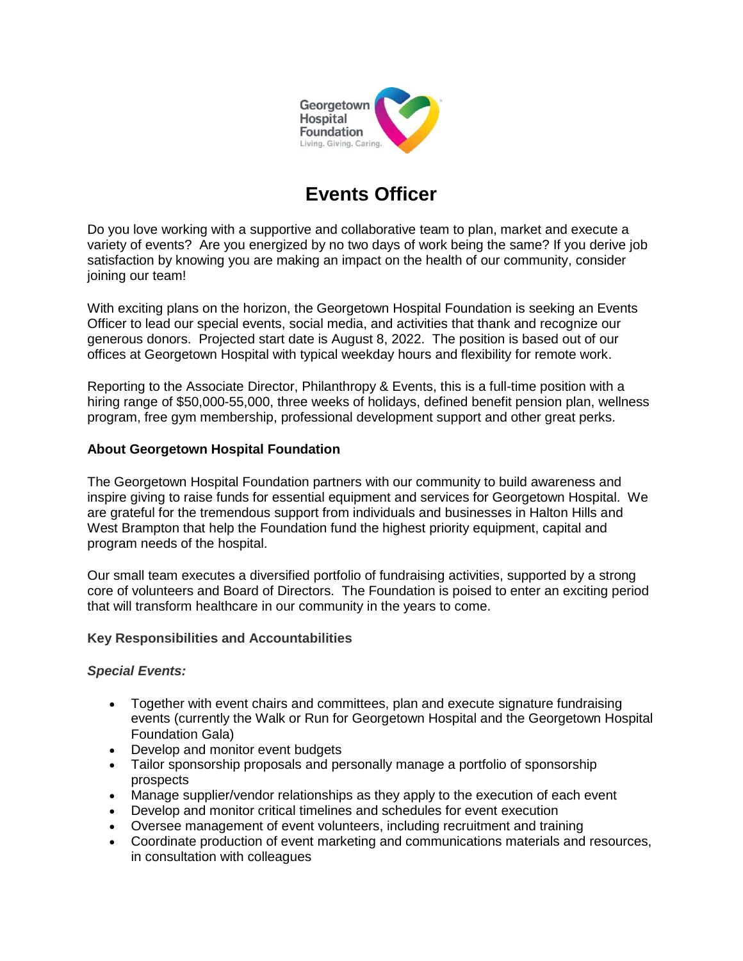

# **Events Officer**

Do you love working with a supportive and collaborative team to plan, market and execute a variety of events? Are you energized by no two days of work being the same? If you derive job satisfaction by knowing you are making an impact on the health of our community, consider joining our team!

With exciting plans on the horizon, the Georgetown Hospital Foundation is seeking an Events Officer to lead our special events, social media, and activities that thank and recognize our generous donors. Projected start date is August 8, 2022. The position is based out of our offices at Georgetown Hospital with typical weekday hours and flexibility for remote work.

Reporting to the Associate Director, Philanthropy & Events, this is a full-time position with a hiring range of \$50,000-55,000, three weeks of holidays, defined benefit pension plan, wellness program, free gym membership, professional development support and other great perks.

## **About Georgetown Hospital Foundation**

The Georgetown Hospital Foundation partners with our community to build awareness and inspire giving to raise funds for essential equipment and services for Georgetown Hospital. We are grateful for the tremendous support from individuals and businesses in Halton Hills and West Brampton that help the Foundation fund the highest priority equipment, capital and program needs of the hospital.

Our small team executes a diversified portfolio of fundraising activities, supported by a strong core of volunteers and Board of Directors. The Foundation is poised to enter an exciting period that will transform healthcare in our community in the years to come.

## **Key Responsibilities and Accountabilities**

## *Special Events:*

- Together with event chairs and committees, plan and execute signature fundraising events (currently the Walk or Run for Georgetown Hospital and the Georgetown Hospital Foundation Gala)
- Develop and monitor event budgets
- Tailor sponsorship proposals and personally manage a portfolio of sponsorship prospects
- Manage supplier/vendor relationships as they apply to the execution of each event
- Develop and monitor critical timelines and schedules for event execution
- Oversee management of event volunteers, including recruitment and training
- Coordinate production of event marketing and communications materials and resources, in consultation with colleagues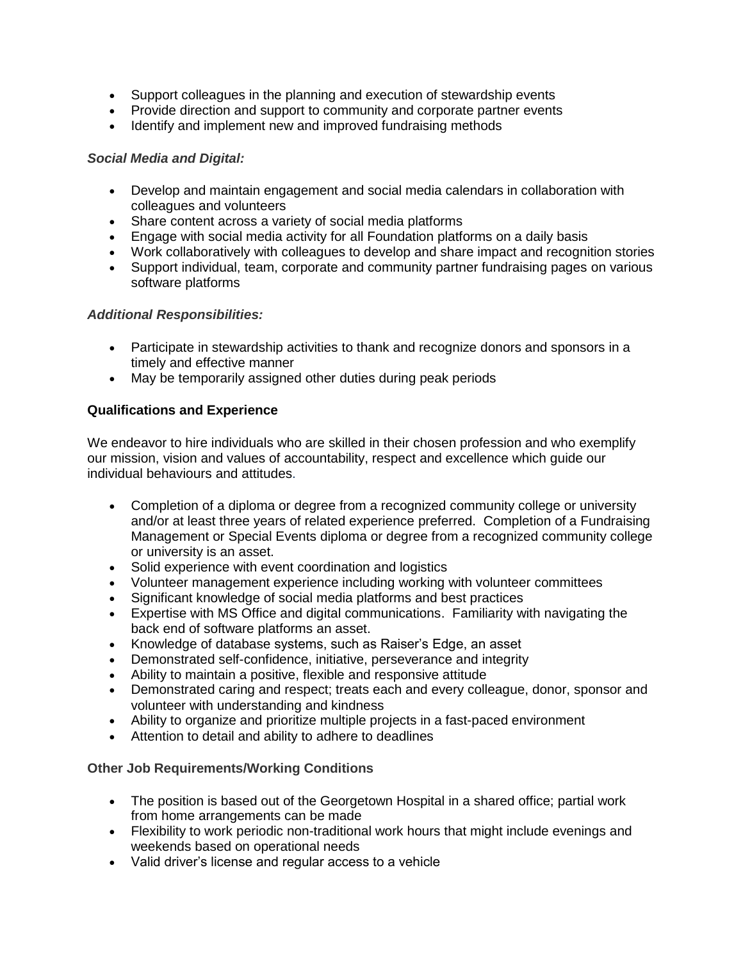- Support colleagues in the planning and execution of stewardship events
- Provide direction and support to community and corporate partner events
- Identify and implement new and improved fundraising methods

### *Social Media and Digital:*

- Develop and maintain engagement and social media calendars in collaboration with colleagues and volunteers
- Share content across a variety of social media platforms
- Engage with social media activity for all Foundation platforms on a daily basis
- Work collaboratively with colleagues to develop and share impact and recognition stories
- Support individual, team, corporate and community partner fundraising pages on various software platforms

## *Additional Responsibilities:*

- Participate in stewardship activities to thank and recognize donors and sponsors in a timely and effective manner
- May be temporarily assigned other duties during peak periods

## **Qualifications and Experience**

We endeavor to hire individuals who are skilled in their chosen profession and who exemplify our mission, vision and values of accountability, respect and excellence which guide our individual behaviours and attitudes.

- Completion of a diploma or degree from a recognized community college or university and/or at least three years of related experience preferred. Completion of a Fundraising Management or Special Events diploma or degree from a recognized community college or university is an asset.
- Solid experience with event coordination and logistics
- Volunteer management experience including working with volunteer committees
- Significant knowledge of social media platforms and best practices
- Expertise with MS Office and digital communications. Familiarity with navigating the back end of software platforms an asset.
- Knowledge of database systems, such as Raiser's Edge, an asset
- Demonstrated self-confidence, initiative, perseverance and integrity
- Ability to maintain a positive, flexible and responsive attitude
- Demonstrated caring and respect; treats each and every colleague, donor, sponsor and volunteer with understanding and kindness
- Ability to organize and prioritize multiple projects in a fast-paced environment
- Attention to detail and ability to adhere to deadlines

## **Other Job Requirements/Working Conditions**

- The position is based out of the Georgetown Hospital in a shared office; partial work from home arrangements can be made
- Flexibility to work periodic non-traditional work hours that might include evenings and weekends based on operational needs
- Valid driver's license and regular access to a vehicle